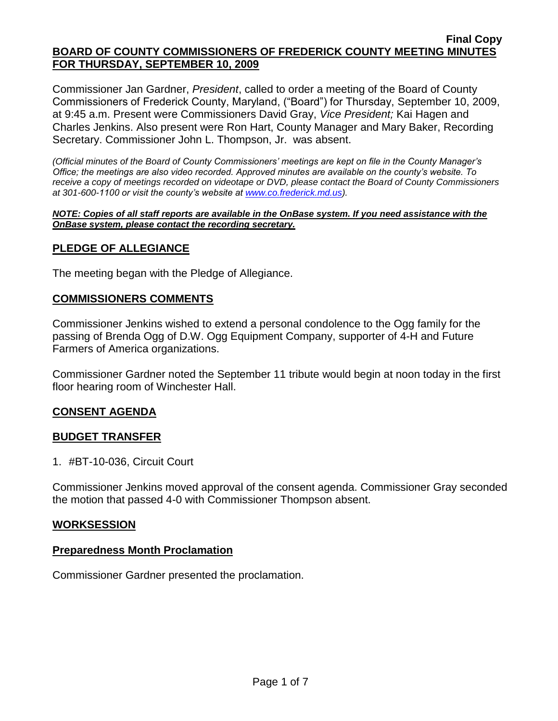Commissioner Jan Gardner, *President*, called to order a meeting of the Board of County Commissioners of Frederick County, Maryland, ("Board") for Thursday, September 10, 2009, at 9:45 a.m. Present were Commissioners David Gray, *Vice President;* Kai Hagen and Charles Jenkins. Also present were Ron Hart, County Manager and Mary Baker, Recording Secretary. Commissioner John L. Thompson, Jr. was absent.

*(Official minutes of the Board of County Commissioners' meetings are kept on file in the County Manager's Office; the meetings are also video recorded. Approved minutes are available on the county's website. To receive a copy of meetings recorded on videotape or DVD, please contact the Board of County Commissioners at 301-600-1100 or visit the county's website at [www.co.frederick.md.us\)](http://www.co.frederick.md.us/).*

#### *NOTE: Copies of all staff reports are available in the OnBase system. If you need assistance with the OnBase system, please contact the recording secretary.*

## **PLEDGE OF ALLEGIANCE**

The meeting began with the Pledge of Allegiance.

### **COMMISSIONERS COMMENTS**

Commissioner Jenkins wished to extend a personal condolence to the Ogg family for the passing of Brenda Ogg of D.W. Ogg Equipment Company, supporter of 4-H and Future Farmers of America organizations.

Commissioner Gardner noted the September 11 tribute would begin at noon today in the first floor hearing room of Winchester Hall.

## **CONSENT AGENDA**

#### **BUDGET TRANSFER**

1. #BT-10-036, Circuit Court

Commissioner Jenkins moved approval of the consent agenda. Commissioner Gray seconded the motion that passed 4-0 with Commissioner Thompson absent.

#### **WORKSESSION**

#### **Preparedness Month Proclamation**

Commissioner Gardner presented the proclamation.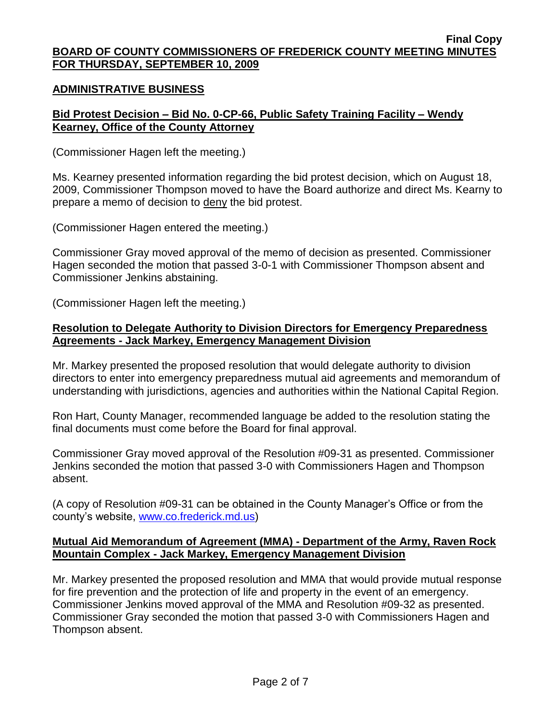### **ADMINISTRATIVE BUSINESS**

## **Bid Protest Decision – Bid No. 0-CP-66, Public Safety Training Facility – Wendy Kearney, Office of the County Attorney**

(Commissioner Hagen left the meeting.)

Ms. Kearney presented information regarding the bid protest decision, which on August 18, 2009, Commissioner Thompson moved to have the Board authorize and direct Ms. Kearny to prepare a memo of decision to deny the bid protest.

(Commissioner Hagen entered the meeting.)

Commissioner Gray moved approval of the memo of decision as presented. Commissioner Hagen seconded the motion that passed 3-0-1 with Commissioner Thompson absent and Commissioner Jenkins abstaining.

(Commissioner Hagen left the meeting.)

### **Resolution to Delegate Authority to Division Directors for Emergency Preparedness Agreements - Jack Markey, Emergency Management Division**

Mr. Markey presented the proposed resolution that would delegate authority to division directors to enter into emergency preparedness mutual aid agreements and memorandum of understanding with jurisdictions, agencies and authorities within the National Capital Region.

Ron Hart, County Manager, recommended language be added to the resolution stating the final documents must come before the Board for final approval.

Commissioner Gray moved approval of the Resolution #09-31 as presented. Commissioner Jenkins seconded the motion that passed 3-0 with Commissioners Hagen and Thompson absent.

(A copy of Resolution #09-31 can be obtained in the County Manager's Office or from the county's website, [www.co.frederick.md.us\)](www.co.frederick.md.us)

### **Mutual Aid Memorandum of Agreement (MMA) - Department of the Army, Raven Rock Mountain Complex - Jack Markey, Emergency Management Division**

Mr. Markey presented the proposed resolution and MMA that would provide mutual response for fire prevention and the protection of life and property in the event of an emergency. Commissioner Jenkins moved approval of the MMA and Resolution #09-32 as presented. Commissioner Gray seconded the motion that passed 3-0 with Commissioners Hagen and Thompson absent.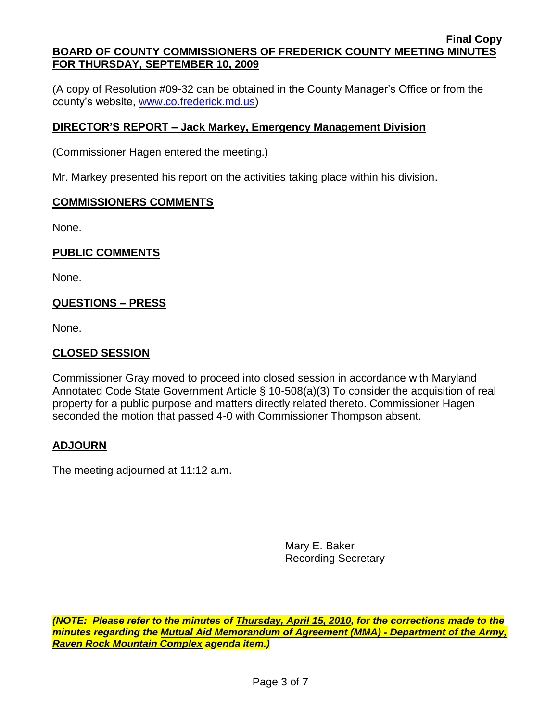(A copy of Resolution #09-32 can be obtained in the County Manager's Office or from the county's website, [www.co.frederick.md.us\)](www.co.frederick.md.us)

## **DIRECTOR'S REPORT – Jack Markey, Emergency Management Division**

(Commissioner Hagen entered the meeting.)

Mr. Markey presented his report on the activities taking place within his division.

## **COMMISSIONERS COMMENTS**

None.

## **PUBLIC COMMENTS**

None.

# **QUESTIONS – PRESS**

None.

## **CLOSED SESSION**

Commissioner Gray moved to proceed into closed session in accordance with Maryland Annotated Code State Government Article § 10-508(a)(3) To consider the acquisition of real property for a public purpose and matters directly related thereto. Commissioner Hagen seconded the motion that passed 4-0 with Commissioner Thompson absent.

## **ADJOURN**

The meeting adjourned at 11:12 a.m.

Mary E. Baker Recording Secretary

*(NOTE: Please refer to the minutes of Thursday, April 15, 2010, for the corrections made to the minutes regarding the Mutual Aid Memorandum of Agreement (MMA) - Department of the Army, Raven Rock Mountain Complex agenda item.)*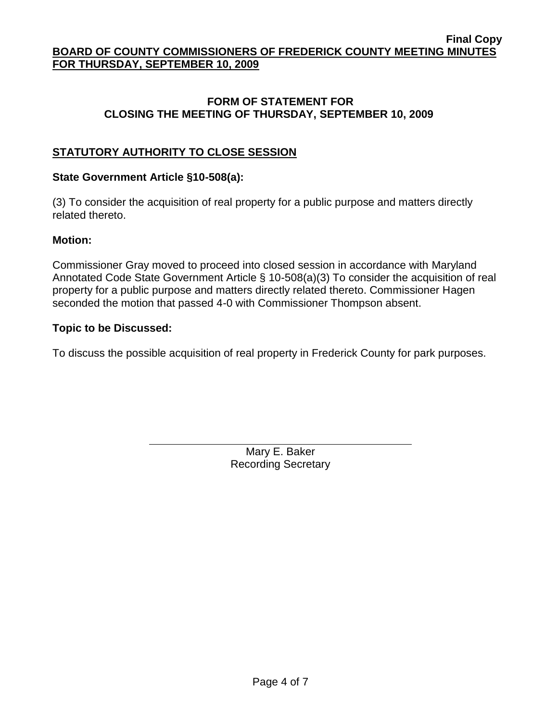## **FORM OF STATEMENT FOR CLOSING THE MEETING OF THURSDAY, SEPTEMBER 10, 2009**

# **STATUTORY AUTHORITY TO CLOSE SESSION**

## **State Government Article §10-508(a):**

(3) To consider the acquisition of real property for a public purpose and matters directly related thereto.

### **Motion:**

Commissioner Gray moved to proceed into closed session in accordance with Maryland Annotated Code State Government Article § 10-508(a)(3) To consider the acquisition of real property for a public purpose and matters directly related thereto. Commissioner Hagen seconded the motion that passed 4-0 with Commissioner Thompson absent.

### **Topic to be Discussed:**

To discuss the possible acquisition of real property in Frederick County for park purposes.

Mary E. Baker Recording Secretary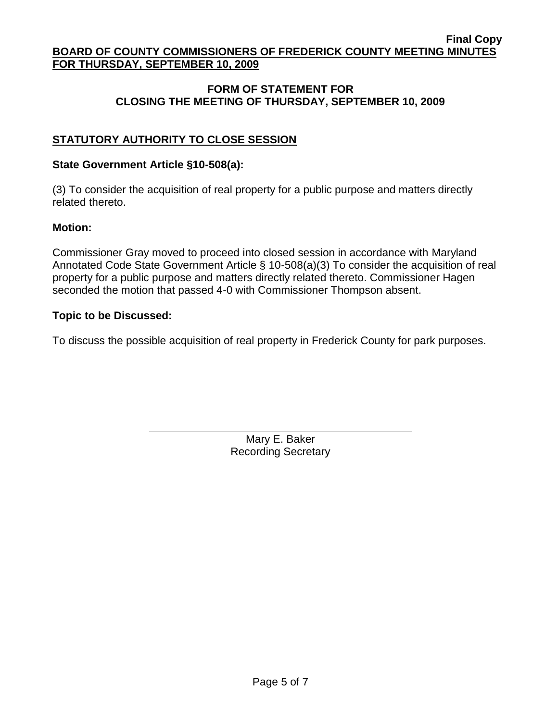## **FORM OF STATEMENT FOR CLOSING THE MEETING OF THURSDAY, SEPTEMBER 10, 2009**

# **STATUTORY AUTHORITY TO CLOSE SESSION**

### **State Government Article §10-508(a):**

(3) To consider the acquisition of real property for a public purpose and matters directly related thereto.

#### **Motion:**

Commissioner Gray moved to proceed into closed session in accordance with Maryland Annotated Code State Government Article § 10-508(a)(3) To consider the acquisition of real property for a public purpose and matters directly related thereto. Commissioner Hagen seconded the motion that passed 4-0 with Commissioner Thompson absent.

### **Topic to be Discussed:**

To discuss the possible acquisition of real property in Frederick County for park purposes.

Mary E. Baker Recording Secretary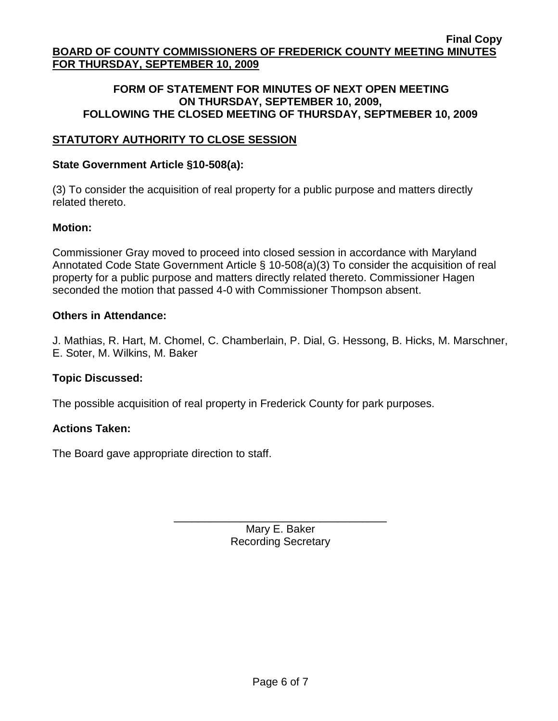### **FORM OF STATEMENT FOR MINUTES OF NEXT OPEN MEETING ON THURSDAY, SEPTEMBER 10, 2009, FOLLOWING THE CLOSED MEETING OF THURSDAY, SEPTMEBER 10, 2009**

# **STATUTORY AUTHORITY TO CLOSE SESSION**

### **State Government Article §10-508(a):**

(3) To consider the acquisition of real property for a public purpose and matters directly related thereto.

### **Motion:**

Commissioner Gray moved to proceed into closed session in accordance with Maryland Annotated Code State Government Article § 10-508(a)(3) To consider the acquisition of real property for a public purpose and matters directly related thereto. Commissioner Hagen seconded the motion that passed 4-0 with Commissioner Thompson absent.

### **Others in Attendance:**

J. Mathias, R. Hart, M. Chomel, C. Chamberlain, P. Dial, G. Hessong, B. Hicks, M. Marschner, E. Soter, M. Wilkins, M. Baker

## **Topic Discussed:**

The possible acquisition of real property in Frederick County for park purposes.

#### **Actions Taken:**

The Board gave appropriate direction to staff.

\_\_\_\_\_\_\_\_\_\_\_\_\_\_\_\_\_\_\_\_\_\_\_\_\_\_\_\_\_\_\_\_\_\_\_ Mary E. Baker Recording Secretary